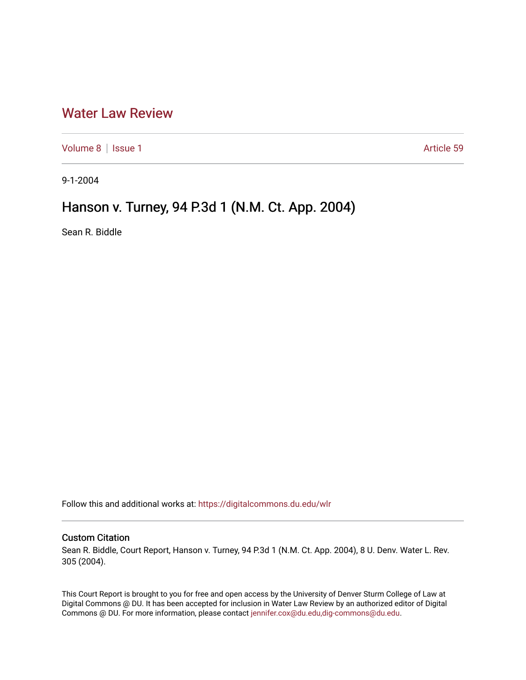## [Water Law Review](https://digitalcommons.du.edu/wlr)

[Volume 8](https://digitalcommons.du.edu/wlr/vol8) | [Issue 1](https://digitalcommons.du.edu/wlr/vol8/iss1) Article 59

9-1-2004

## Hanson v. Turney, 94 P.3d 1 (N.M. Ct. App. 2004)

Sean R. Biddle

Follow this and additional works at: [https://digitalcommons.du.edu/wlr](https://digitalcommons.du.edu/wlr?utm_source=digitalcommons.du.edu%2Fwlr%2Fvol8%2Fiss1%2F59&utm_medium=PDF&utm_campaign=PDFCoverPages) 

## Custom Citation

Sean R. Biddle, Court Report, Hanson v. Turney, 94 P.3d 1 (N.M. Ct. App. 2004), 8 U. Denv. Water L. Rev. 305 (2004).

This Court Report is brought to you for free and open access by the University of Denver Sturm College of Law at Digital Commons @ DU. It has been accepted for inclusion in Water Law Review by an authorized editor of Digital Commons @ DU. For more information, please contact [jennifer.cox@du.edu,dig-commons@du.edu.](mailto:jennifer.cox@du.edu,dig-commons@du.edu)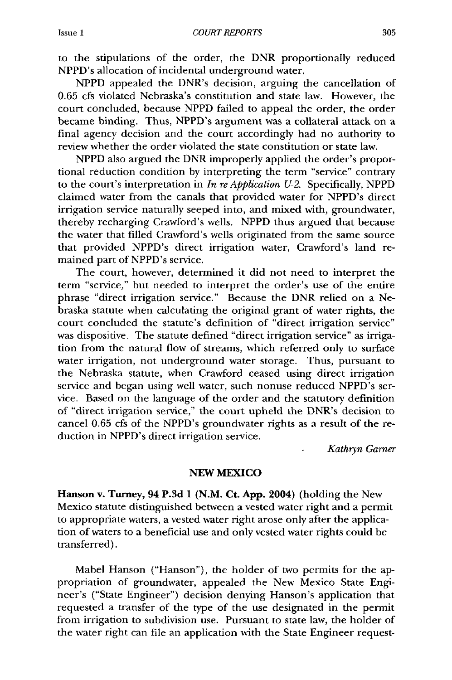to the stipulations of the order, the DNR proportionally reduced NPPD's allocation of incidental underground water.

NPPD appealed the DNR's decision, arguing the cancellation of 0.65 cfs violated Nebraska's constitution and state law. However, the court concluded, because NPPD failed to appeal the order, the order became binding. Thus, NPPD's argument was a collateral attack on a final agency decision and the court accordingly had no authority to review whether the order violated the state constitution or state law.

NPPD also argued the DNR improperly applied the order's proportional reduction condition by interpreting the term "service" contrary to the court's interpretation in *In re Application U-2.* Specifically, NPPD claimed water from the canals that provided water for NPPD's direct irrigation service naturally seeped into, and mixed with, groundwater, thereby recharging Crawford's wells. NPPD thus argued that because the water that filled Crawford's wells originated from the same source that provided NPPD's direct irrigation water, Crawford's land remained part of NPPD's service.

The court, however, determined it did not need to interpret the term "service," but needed to interpret the order's use of the entire phrase "direct irrigation service." Because the DNR relied on a Nebraska statute when calculating the original grant of water rights, the court concluded the statute's definition of "direct irrigation service" was dispositive. The statute defined "direct irrigation service" as irrigation from the natural flow of streams, which referred only to surface water irrigation, not underground water storage. Thus, pursuant to the Nebraska statute, when Crawford ceased using direct irrigation service and began using well water, such nonuse reduced NPPD's service. Based on the language of the order and the statutory definition of "direct irrigation service," the court upheld the DNR's decision to cancel 0.65 cfs of the NPPD's groundwater rights as a result of the reduction in NPPD's direct irrigation service.

*Kathryn Garner*

## **NEW MEXICO**

Hanson v. Turney, 94 **P.3d 1 (N.M. Ct. App.** 2004) (holding the New Mexico statute distinguished between a vested water right and a permit to appropriate waters, a vested water right arose only after the application of waters to a beneficial use and only vested water rights could be transferred).

Mabel Hanson ("Hanson"), the holder of two permits for the appropriation of groundwater, appealed the New Mexico State Engineer's ("State Engineer") decision denying Hanson's application that requested a transfer of the type of the use designated in the permit from irrigation to subdivision use. Pursuant to state law, the holder of the water right can file an application with the State Engineer request-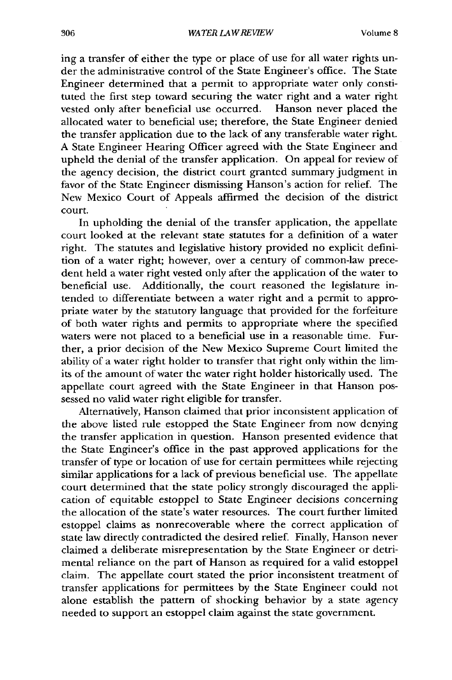ing a transfer of either the type or place of use for all water rights under the administrative control of the State Engineer's office. The State Engineer determined that a permit to appropriate water only constituted the first step toward securing the water right and a water right vested only after beneficial use occurred. Hanson never placed the allocated water to beneficial use; therefore, the State Engineer denied the transfer application due to the lack of any transferable water right. **A** State Engineer Hearing Officer agreed with the State Engineer and upheld the denial of the transfer application. On appeal for review of the agency decision, the district court granted summary judgment in favor of the State Engineer dismissing Hanson's action for relief. The New Mexico Court of Appeals affirmed the decision of the district court.

In upholding the denial of the transfer application, the appellate court looked at the relevant state statutes for a definition of a water right. The statutes and legislative history provided no explicit definition of a water right; however, over a century of common-law precedent held a water right vested only after the application of the water to beneficial use. Additionally, the court reasoned the legislature intended to differentiate between a water right and a permit to appropriate water **by** the statutory language that provided for the forfeiture of both water rights and permits to appropriate where the specified waters were not placed to a beneficial use in a reasonable time. Further, a prior decision of the New Mexico Supreme Court limited the ability of a water right holder to transfer that right only within the limits of the amount of water the water right holder historically used. The appellate court agreed with the State Engineer in that Hanson possessed no valid water right eligible for transfer.

Alternatively, Hanson claimed that prior inconsistent application of the above listed rule estopped the State Engineer from now denying the transfer application in question. Hanson presented evidence that the State Engineer's office in the past approved applications for the transfer of type or location of use for certain permittees while rejecting similar applications for a lack of previous beneficial use. The appellate court determined that the state policy strongly discouraged the application of equitable estoppel to State Engineer decisions concerning the allocation of the state's water resources. The court further limited estoppel claims as nonrecoverable where the correct application of state law directly contradicted the desired relief. Finally, Hanson never claimed a deliberate misrepresentation **by** the State Engineer or detrimental reliance on the part of Hanson as required for a valid estoppel claim. The appellate court stated the prior inconsistent treatment of transfer applications for permittees **by** the State Engineer could not alone establish the pattern of shocking behavior **by** a state agency needed to support an estoppel claim against the state government.